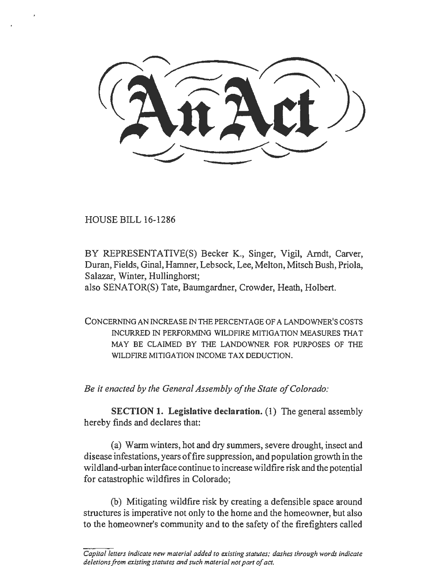HOUSE BILL 16-1286

BY REPRESENTATIVE(S) Becker K., Singer, Vigil, Arndt, Carver, Duran, Fields, Gina!, Hamner, Lebsack, Lee, Melton, Mitsch Bush, Priola, Salazar, Winter, Hullinghorst; also SENA TOR(S) Tate, Baumgardner, Crowder, Heath, Holbert.

CONCERNING AN INCREASE IN THE PERCENTAGE OF A LANDOWNER'S COSTS INCURRED IN PERFORMING WILDFIRE MITJGA TJON MEASURES THAT MAY BE CLAIMED BY THE LANDOWNER FOR PURPOSES OF THE WILDFIRE MITIGATION INCOME TAX DEDUCTION.

*Be it enacted by the General Assembly of the State of Colorado:* 

SECTION 1. Legislative declaration.  $(1)$  The general assembly hereby finds and declares that:

(a) Warm winters, hot and dry summers, severe drought, insect and disease infestations, years of fire suppression, and population growth in the wildland-urban interface continue to increase wildfire risk and the potential for catastrophic wildfires in Colorado;

(b) Mitigating wildfrre risk by creating a defensible space around structures is imperative not only to the home and the homeowner, but also to the homeowner's community and to the safety of the firefighters called

Capital letters indicate new material added to existing statutes; dashes through words indicate *deletions from existing statutes and such material not part of act.*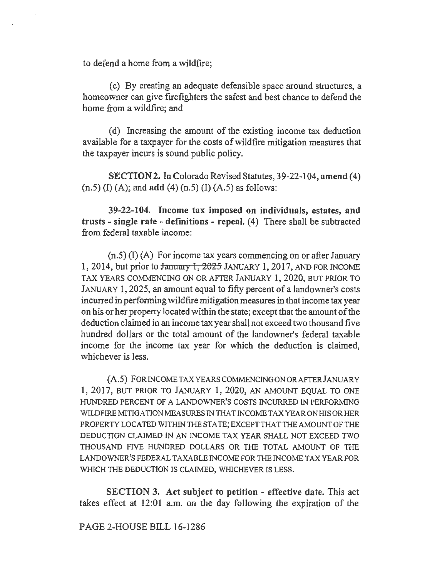to defend a home from a wildfrre;

(c) By creating an adequate defensible space around structures, a homeowner can give firefighters the safest and best chance to defend the home from a wildfire; and

(d) Increasing the amount of the existing income tax deduction available for a taxpayer for the costs of wildfire mitigation measures that the taxpayer incurs is sound public policy.

SECTION2. In Colorado Revised Statutes, 39-22-104, amend (4)  $(n.5)$  (I) (A); and add (4)  $(n.5)$  (I) (A.5) as follows:

39-22-104. Income tax imposed on individuals, estates, and trusts - single rate - definitions - repeal.  $(4)$  There shall be subtracted from federal taxable income:

(n.S) (I) (A) For income tax years commencing on or after January 1, 2014, but prior to  $\frac{1}{2025}$  JANUARY 1, 2017, AND FOR INCOME TAX YEARS COMMENCING ON OR AFTER JANUARY 1, 2020, BUT PRIOR TO JANUARY 1, 2025, an amount equal to fifty percent of a landowner's costs incurred in performing wildfire mitigation measures in that income tax year on his or her property located within the state; except that the amount of the deduction claimed in an income tax year shall not exceed two thousand five hundred dollars or the total amount of the landowner's federal taxable income for the income tax year for which the deduction is claimed, whichever is less.

(A.S) FORINCOMETAXYEARSCOMMENCINGONORAFTERJANUARY 1, 2017, BUT PRIOR TO JANUARY 1, 2020, AN AMOUNT EQUAL TO ONE HUNDRED PERCENT OF A LANDOWNER'S COSTS INCURRED IN PERFORMING WILDFIRE MITIGATION MEASURES IN THAT INCOME TAX YEAR ON HIS OR HER PROPERTY LOCATED WITHIN THE STATE; EXCEPT THAT THE AMOUNT OF THE DEDUCTION CLAIMED IN AN INCOME TAX YEAR SHALL NOT EXCEED TWO THOUSAND FIVE HUNDRED DOLLARS OR THE TOTAL AMOUNT OF THE LANDOWNER'S FEDERAL TAXABLE INCOME FOR THE INCOME TAX YEAR FOR WHICH THE DEDUCTION IS CLAIMED, WHICHEVER IS LESS.

SECTION 3. Act subject to petition - effective date. This act takes effect at 12:01 a.m. on the day following the expiration of the

PAGE 2-HOUSE BILL 16-1286